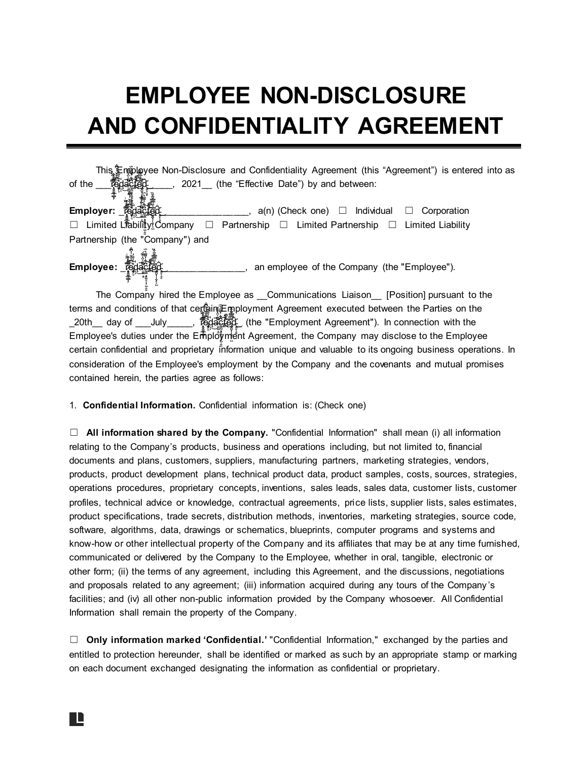## **EMPLOYEE NON-DISCLOSURE AND CONFIDENTIALITY AGREEMENT**

| This 年n的gyee Non-Disclosure and Confidentiality Agreement (this "Agreement") is entered into as |
|-------------------------------------------------------------------------------------------------|
| 2021 (the "Effective Date") by and between:<br>of the                                           |
|                                                                                                 |
| Employer: <b>愛</b><br>____, $a(n)$ (Check one) $\Box$ Individual $\Box$<br>Corporation          |
| □ Limited Ltability Company □ Partnership □ Limited Partnership □ Limited Liability             |
| Partnership (the "Company") and                                                                 |
| Employee: <u>《</u><br>an employee of the Company (the "Employee").                              |
| The Company hired the Employee as __Communications Liaison __ [Position] pursuant to the        |
| terms and conditions of that certain French Agreement executed between the Parties on the       |
| 经经 经零票                                                                                          |

 $20th$  day of July \_\_\_\_, respectively į ֧֖֖֖֖֧֖֧ׅ֧ׅ֧֧֧֖֧֧֧֧֧֧֧֚֚֚֚֚֚֚֚֚֚֚֚֚֚֚֚֚֚֚֚֚֚֚֚֝֝֝֝֬֓֞֝֬֝֓֞֝֬֞֝֬֞֝֬֞֝֬֞֝֬֞֝֬֝֬֝֬ Í ̴̨͎͕̒͜ ̷̨̛̟̬̠̳̲̘͇̟̗̿̎̍̃̏͗̀̅͊̐͒ į  $\frac{1}{2}$ ̷̨̛̟̬̠̳̲̘͇̟̗̿̎̍̃̏͗̀̅͊̐͒ ̵̡̡͚̗̥͗͆̐̐̌̓̀͆̐̀͛̉͐͒̓ ׇׇ֧ׅ֧ׅׅ֦֧ׅ֦֧ׅׅ֦֧ׅ֛֛ׅ֛֛ׅ֛֛ׅ֦֜֓֡֜֓֡֓֡֜֓֡֜֓֡֜֡֜֓֡֜֓֡֜֓֡֜֓֡֜֡֟ Ì i į ̶̫̠̱͙̼̀̄̏͐̈̇͒̃́́́̚̕ c : ŗ ̶̫̠̱͙̼̀̄̏͐̈̇͒̃́́́̚̕ i j j ̴̴̡̡̬̯̼͓̙̠͈͔̟͖̹͍͍̬̯̼͓̙̠͈͔̟͖̹͍͍͆͋̓͌̈́͛̈́͆͋̓͌̈́͛̈́͝͝ Employee's duties under the Employment Agreement, the Company may disclose to the Employee t ̵̛̌̀͂̈̅̈́̿̌͂ ̴̛̪̌̽̀͂̊̈́̄͜͝e ̵̛̌̀͂̈̅̈́̿̌͂ ̵̛̌̀͂̈̅̈́̿̌͂ d \_ (the "Employment Agreement"). In connection with the ĺ ĺ ļ ̷̨̛̟̬̠̳̲̘͇̟̗̿̎̍̃̏͗̀̅͊̐͒ ĺ ̴̡̬̯̼͓̙̠͈͔̟͖̹͍͍͆͋̓͌̈́͛̈́͝ į i i certain confidential and proprietary information unique and valuable to its ongoing business operations. In consideration of the Employee's employment by the Company and the covenants and mutual promises contained herein, the parties agree as follows:

1. **Confidential Information.** Confidential information is: (Check one)

☐ **All information shared by the Company.** "Confidential Information" shall mean (i) all information relating to the Company's products, business and operations including, but not limited to, financial documents and plans, customers, suppliers, manufacturing partners, marketing strategies, vendors, products, product development plans, technical product data, product samples, costs, sources, strategies, operations procedures, proprietary concepts, inventions, sales leads, sales data, customer lists, customer profiles, technical advice or knowledge, contractual agreements, price lists, supplier lists, sales estimates, product specifications, trade secrets, distribution methods, inventories, marketing strategies, source code, software, algorithms, data, drawings or schematics, blueprints, computer programs and systems and know-how or other intellectual property of the Company and its affiliates that may be at any time furnished, communicated or delivered by the Company to the Employee, whether in oral, tangible, electronic or other form; (ii) the terms of any agreement, including this Agreement, and the discussions, negotiations and proposals related to any agreement; (iii) information acquired during any tours of the Company 's facilities; and (iv) all other non-public information provided by the Company whosoever. All Confidential Information shall remain the property of the Company.

☐ **Only information marked 'Confidential.'** "Confidential Information," exchanged by the parties and entitled to protection hereunder, shall be identified or marked as such by an appropriate stamp or marking on each document exchanged designating the information as confidential or proprietary.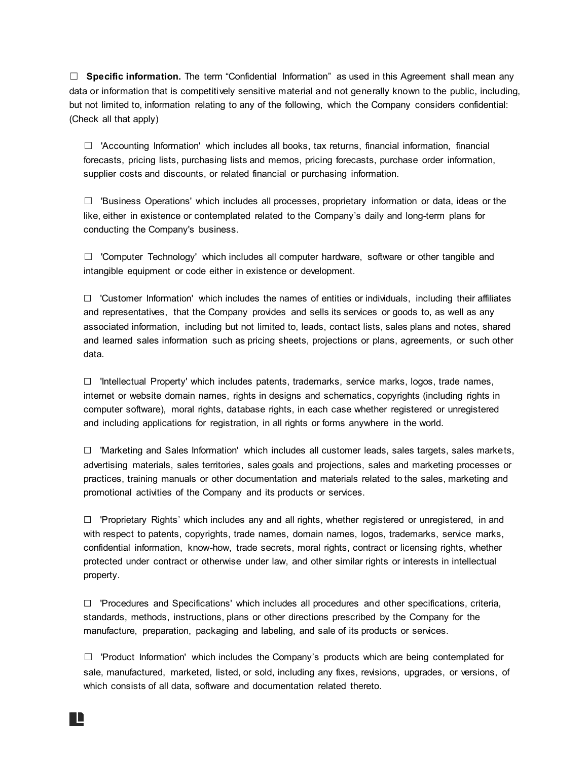☐ **Specific information.** The term "Confidential Information" as used in this Agreement shall mean any data or information that is competitively sensitive material and not generally known to the public, including, but not limited to, information relating to any of the following, which the Company considers confidential: (Check all that apply)

☐ 'Accounting Information' which includes all books, tax returns, financial information, financial forecasts, pricing lists, purchasing lists and memos, pricing forecasts, purchase order information, supplier costs and discounts, or related financial or purchasing information.

☐ 'Business Operations' which includes all processes, proprietary information or data, ideas or the like, either in existence or contemplated related to the Company's daily and long-term plans for conducting the Company's business.

 $\Box$  'Computer Technology' which includes all computer hardware, software or other tangible and intangible equipment or code either in existence or development.

 $\Box$  'Customer Information' which includes the names of entities or individuals, including their affiliates and representatives, that the Company provides and sells its services or goods to, as well as any associated information, including but not limited to, leads, contact lists, sales plans and notes, shared and learned sales information such as pricing sheets, projections or plans, agreements, or such other data.

☐ 'Intellectual Property' which includes patents, trademarks, service marks, logos, trade names, internet or website domain names, rights in designs and schematics, copyrights (including rights in computer software), moral rights, database rights, in each case whether registered or unregistered and including applications for registration, in all rights or forms anywhere in the world.

☐ 'Marketing and Sales Information' which includes all customer leads, sales targets, sales markets, advertising materials, sales territories, sales goals and projections, sales and marketing processes or practices, training manuals or other documentation and materials related to the sales, marketing and promotional activities of the Company and its products or services.

☐ 'Proprietary Rights' which includes any and all rights, whether registered or unregistered, in and with respect to patents, copyrights, trade names, domain names, logos, trademarks, service marks, confidential information, know-how, trade secrets, moral rights, contract or licensing rights, whether protected under contract or otherwise under law, and other similar rights or interests in intellectual property.

☐ 'Procedures and Specifications' which includes all procedures and other specifications, criteria, standards, methods, instructions, plans or other directions prescribed by the Company for the manufacture, preparation, packaging and labeling, and sale of its products or services.

☐ 'Product Information' which includes the Company's products which are being contemplated for sale, manufactured, marketed, listed, or sold, including any fixes, revisions, upgrades, or versions, of which consists of all data, software and documentation related thereto.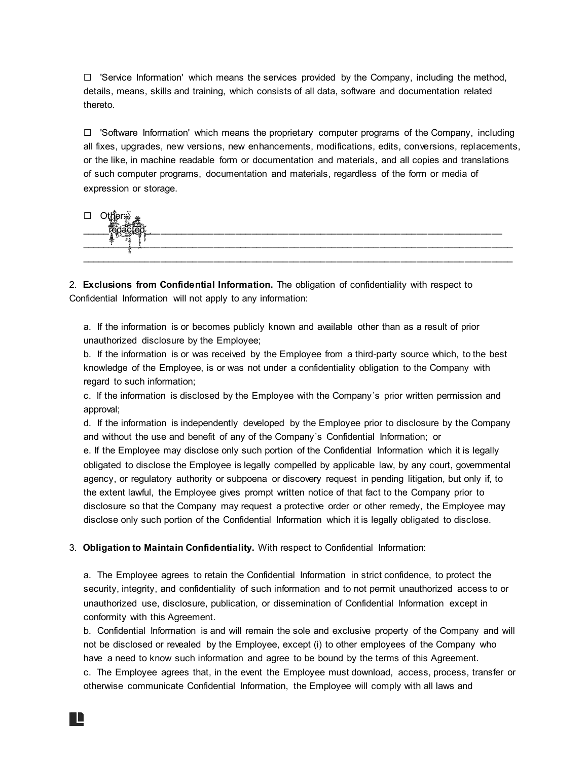$\Box$  'Service Information' which means the services provided by the Company, including the method, details, means, skills and training, which consists of all data, software and documentation related thereto.

 $\Box$  'Software Information' which means the proprietary computer programs of the Company, including all fixes, upgrades, new versions, new enhancements, modifications, edits, conversions, replacements, or the like, in machine readable form or documentation and materials, and all copies and translations of such computer programs, documentation and materials, regardless of the form or media of expression or storage.



2. **Exclusions from Confidential Information.** The obligation of confidentiality with respect to Confidential Information will not apply to any information:

a. If the information is or becomes publicly known and available other than as a result of prior unauthorized disclosure by the Employee;

b. If the information is or was received by the Employee from a third-party source which, to the best knowledge of the Employee, is or was not under a confidentiality obligation to the Company with regard to such information;

c. If the information is disclosed by the Employee with the Company's prior written permission and approval;

d. If the information is independently developed by the Employee prior to disclosure by the Company and without the use and benefit of any of the Company's Confidential Information; or

e. If the Employee may disclose only such portion of the Confidential Information which it is legally obligated to disclose the Employee is legally compelled by applicable law, by any court, governmental agency, or regulatory authority or subpoena or discovery request in pending litigation, but only if, to the extent lawful, the Employee gives prompt written notice of that fact to the Company prior to disclosure so that the Company may request a protective order or other remedy, the Employee may disclose only such portion of the Confidential Information which it is legally obligated to disclose.

3. **Obligation to Maintain Confidentiality.** With respect to Confidential Information:

a. The Employee agrees to retain the Confidential Information in strict confidence, to protect the security, integrity, and confidentiality of such information and to not permit unauthorized access to or unauthorized use, disclosure, publication, or dissemination of Confidential Information except in conformity with this Agreement.

b. Confidential Information is and will remain the sole and exclusive property of the Company and will not be disclosed or revealed by the Employee, except (i) to other employees of the Company who have a need to know such information and agree to be bound by the terms of this Agreement.

c. The Employee agrees that, in the event the Employee must download, access, process, transfer or otherwise communicate Confidential Information, the Employee will comply with all laws and